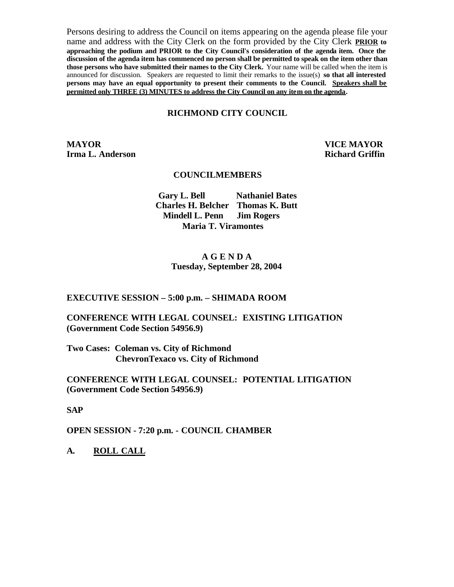Persons desiring to address the Council on items appearing on the agenda please file your name and address with the City Clerk on the form provided by the City Clerk **PRIOR to approaching the podium and PRIOR to the City Council's consideration of the agenda item. Once the discussion of the agenda item has commenced no person shall be permitted to speak on the item other than those persons who have submitted their names to the City Clerk.** Your name will be called when the item is announced for discussion. Speakers are requested to limit their remarks to the issue(s) **so that all interested persons may have an equal opportunity to present their comments to the Council. Speakers shall be permitted only THREE (3) MINUTES to address the City Council on any item on the agenda.**

#### **RICHMOND CITY COUNCIL**

**MAYOR VICE MAYOR Irma L. Anderson Richard Griffin** 

#### **COUNCILMEMBERS**

**Gary L. Bell Nathaniel Bates Charles H. Belcher Thomas K. Butt Mindell L. Penn Jim Rogers Maria T. Viramontes**

#### **A G E N D A Tuesday, September 28, 2004**

#### **EXECUTIVE SESSION – 5:00 p.m. – SHIMADA ROOM**

## **CONFERENCE WITH LEGAL COUNSEL: EXISTING LITIGATION (Government Code Section 54956.9)**

**Two Cases: Coleman vs. City of Richmond ChevronTexaco vs. City of Richmond**

#### **CONFERENCE WITH LEGAL COUNSEL: POTENTIAL LITIGATION (Government Code Section 54956.9)**

**SAP**

**OPEN SESSION - 7:20 p.m. - COUNCIL CHAMBER**

**A. ROLL CALL**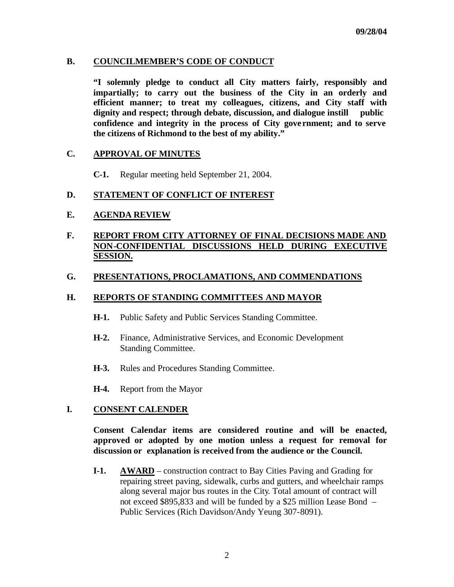## **B. COUNCILMEMBER'S CODE OF CONDUCT**

**"I solemnly pledge to conduct all City matters fairly, responsibly and impartially; to carry out the business of the City in an orderly and efficient manner; to treat my colleagues, citizens, and City staff with dignity and respect; through debate, discussion, and dialogue instill public confidence and integrity in the process of City gove rnment; and to serve the citizens of Richmond to the best of my ability."**

## **C. APPROVAL OF MINUTES**

**C-1.** Regular meeting held September 21, 2004.

## **D. STATEMENT OF CONFLICT OF INTEREST**

#### **E. AGENDA REVIEW**

# **F. REPORT FROM CITY ATTORNEY OF FINAL DECISIONS MADE AND NON-CONFIDENTIAL DISCUSSIONS HELD DURING EXECUTIVE SESSION.**

#### **G. PRESENTATIONS, PROCLAMATIONS, AND COMMENDATIONS**

#### **H. REPORTS OF STANDING COMMITTEES AND MAYOR**

- **H-1.** Public Safety and Public Services Standing Committee.
- **H-2.** Finance, Administrative Services, and Economic Development Standing Committee.
- **H-3.** Rules and Procedures Standing Committee.
- **H-4.** Report from the Mayor

#### **I. CONSENT CALENDER**

**Consent Calendar items are considered routine and will be enacted, approved or adopted by one motion unless a request for removal for discussion or explanation is received from the audience or the Council.** 

**I-1. AWARD** – construction contract to Bay Cities Paving and Grading for repairing street paving, sidewalk, curbs and gutters, and wheelchair ramps along several major bus routes in the City. Total amount of contract will not exceed \$895,833 and will be funded by a \$25 million Lease Bond – Public Services (Rich Davidson/Andy Yeung 307-8091).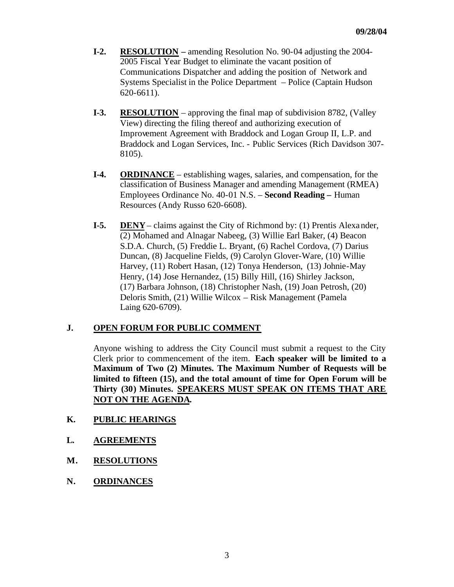- **I-2. RESOLUTION –** amending Resolution No. 90-04 adjusting the 2004- 2005 Fiscal Year Budget to eliminate the vacant position of Communications Dispatcher and adding the position of Network and Systems Specialist in the Police Department – Police (Captain Hudson 620-6611).
- **I-3. RESOLUTION** approving the final map of subdivision 8782, (Valley View) directing the filing thereof and authorizing execution of Improvement Agreement with Braddock and Logan Group II, L.P. and Braddock and Logan Services, Inc. - Public Services (Rich Davidson 307- 8105).
- **I-4. ORDINANCE** establishing wages, salaries, and compensation, for the classification of Business Manager and amending Management (RMEA) Employees Ordinance No. 40-01 N.S. – **Second Reading –** Human Resources (Andy Russo 620-6608).
- **I-5. DENY** claims against the City of Richmond by: (1) Prentis Alexander, (2) Mohamed and Alnagar Nabeeg, (3) Willie Earl Baker, (4) Beacon S.D.A. Church, (5) Freddie L. Bryant, (6) Rachel Cordova, (7) Darius Duncan, (8) Jacqueline Fields, (9) Carolyn Glover-Ware, (10) Willie Harvey, (11) Robert Hasan, (12) Tonya Henderson, (13) Johnie-May Henry, (14) Jose Hernandez, (15) Billy Hill, (16) Shirley Jackson, (17) Barbara Johnson, (18) Christopher Nash, (19) Joan Petrosh, (20) Deloris Smith, (21) Willie Wilcox – Risk Management (Pamela Laing 620-6709).

# **J. OPEN FORUM FOR PUBLIC COMMENT**

Anyone wishing to address the City Council must submit a request to the City Clerk prior to commencement of the item. **Each speaker will be limited to a Maximum of Two (2) Minutes. The Maximum Number of Requests will be limited to fifteen (15), and the total amount of time for Open Forum will be Thirty (30) Minutes. SPEAKERS MUST SPEAK ON ITEMS THAT ARE NOT ON THE AGENDA.**

- **K. PUBLIC HEARINGS**
- **L. AGREEMENTS**
- **M. RESOLUTIONS**
- **N. ORDINANCES**